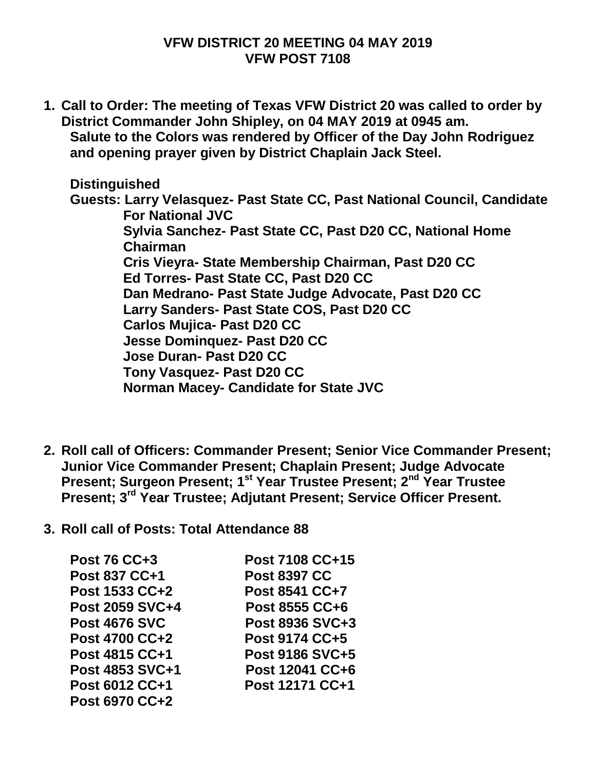## **VFW DISTRICT 20 MEETING 04 MAY 2019 VFW POST 7108**

**1. Call to Order: The meeting of Texas VFW District 20 was called to order by District Commander John Shipley, on 04 MAY 2019 at 0945 am. Salute to the Colors was rendered by Officer of the Day John Rodriguez and opening prayer given by District Chaplain Jack Steel.**

**Distinguished Guests: Larry Velasquez- Past State CC, Past National Council, Candidate For National JVC Sylvia Sanchez- Past State CC, Past D20 CC, National Home Chairman Cris Vieyra- State Membership Chairman, Past D20 CC Ed Torres- Past State CC, Past D20 CC Dan Medrano- Past State Judge Advocate, Past D20 CC Larry Sanders- Past State COS, Past D20 CC Carlos Mujica- Past D20 CC Jesse Dominquez- Past D20 CC Jose Duran- Past D20 CC Tony Vasquez- Past D20 CC Norman Macey- Candidate for State JVC**

- **2. Roll call of Officers: Commander Present; Senior Vice Commander Present; Junior Vice Commander Present; Chaplain Present; Judge Advocate Present; Surgeon Present; 1st Year Trustee Present; 2nd Year Trustee Present; 3rd Year Trustee; Adjutant Present; Service Officer Present.**
- **3. Roll call of Posts: Total Attendance 88**

| <b>Post 76 CC+3</b>   | Post 7108 CC+15        |
|-----------------------|------------------------|
| Post 837 CC+1         | <b>Post 8397 CC</b>    |
| Post 1533 CC+2        | <b>Post 8541 CC+7</b>  |
| Post 2059 SVC+4       | Post 8555 CC+6         |
| <b>Post 4676 SVC</b>  | Post 8936 SVC+3        |
| <b>Post 4700 CC+2</b> | Post 9174 CC+5         |
| Post 4815 CC+1        | <b>Post 9186 SVC+5</b> |
| Post 4853 SVC+1       | Post 12041 CC+6        |
| Post 6012 CC+1        | Post 12171 CC+1        |
| Post 6970 CC+2        |                        |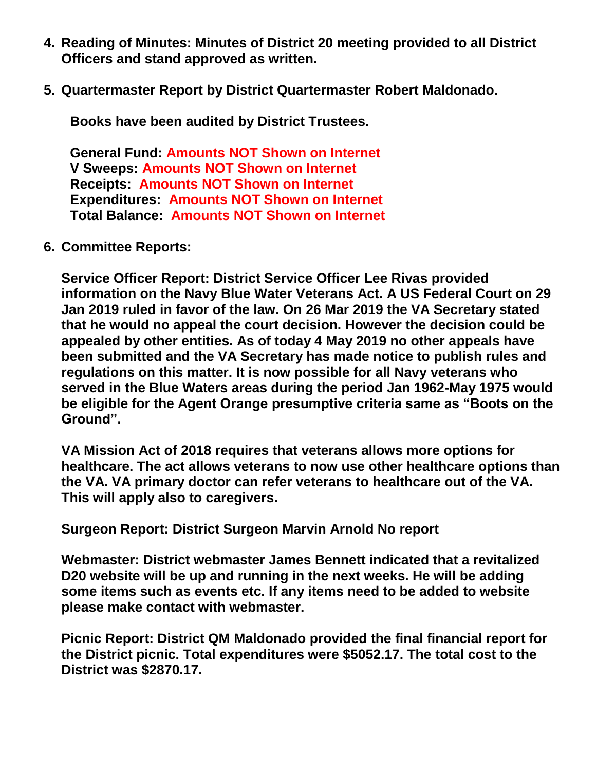- **4. Reading of Minutes: Minutes of District 20 meeting provided to all District Officers and stand approved as written.**
- **5. Quartermaster Report by District Quartermaster Robert Maldonado.**

**Books have been audited by District Trustees.**

**General Fund: Amounts NOT Shown on Internet V Sweeps: Amounts NOT Shown on Internet Receipts: Amounts NOT Shown on Internet Expenditures: Amounts NOT Shown on Internet Total Balance: Amounts NOT Shown on Internet**

**6. Committee Reports:**

**Service Officer Report: District Service Officer Lee Rivas provided information on the Navy Blue Water Veterans Act. A US Federal Court on 29 Jan 2019 ruled in favor of the law. On 26 Mar 2019 the VA Secretary stated that he would no appeal the court decision. However the decision could be appealed by other entities. As of today 4 May 2019 no other appeals have been submitted and the VA Secretary has made notice to publish rules and regulations on this matter. It is now possible for all Navy veterans who served in the Blue Waters areas during the period Jan 1962-May 1975 would be eligible for the Agent Orange presumptive criteria same as "Boots on the Ground".** 

**VA Mission Act of 2018 requires that veterans allows more options for healthcare. The act allows veterans to now use other healthcare options than the VA. VA primary doctor can refer veterans to healthcare out of the VA. This will apply also to caregivers.**

**Surgeon Report: District Surgeon Marvin Arnold No report**

**Webmaster: District webmaster James Bennett indicated that a revitalized D20 website will be up and running in the next weeks. He will be adding some items such as events etc. If any items need to be added to website please make contact with webmaster.**

**Picnic Report: District QM Maldonado provided the final financial report for the District picnic. Total expenditures were \$5052.17. The total cost to the District was \$2870.17.**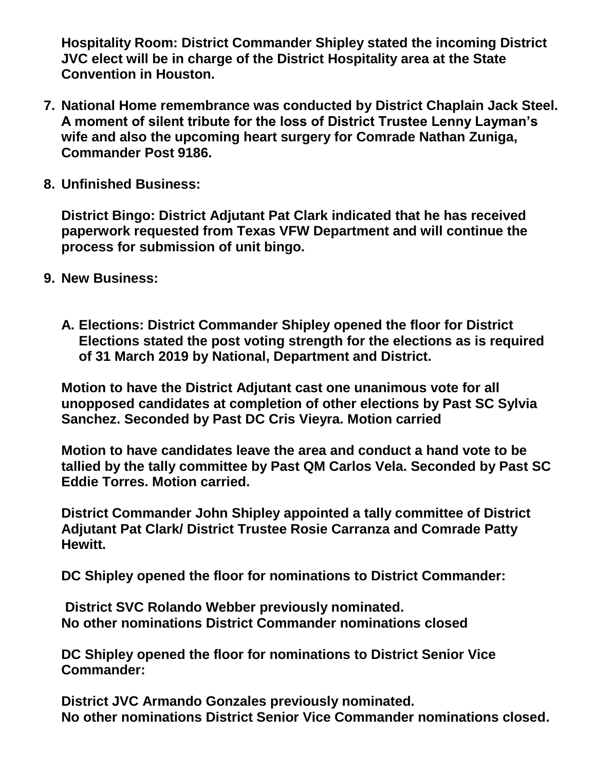**Hospitality Room: District Commander Shipley stated the incoming District JVC elect will be in charge of the District Hospitality area at the State Convention in Houston.**

- **7. National Home remembrance was conducted by District Chaplain Jack Steel. A moment of silent tribute for the loss of District Trustee Lenny Layman's wife and also the upcoming heart surgery for Comrade Nathan Zuniga, Commander Post 9186.**
- **8. Unfinished Business:**

**District Bingo: District Adjutant Pat Clark indicated that he has received paperwork requested from Texas VFW Department and will continue the process for submission of unit bingo.**

- **9. New Business:**
	- **A. Elections: District Commander Shipley opened the floor for District Elections stated the post voting strength for the elections as is required of 31 March 2019 by National, Department and District.**

**Motion to have the District Adjutant cast one unanimous vote for all unopposed candidates at completion of other elections by Past SC Sylvia Sanchez. Seconded by Past DC Cris Vieyra. Motion carried**

**Motion to have candidates leave the area and conduct a hand vote to be tallied by the tally committee by Past QM Carlos Vela. Seconded by Past SC Eddie Torres. Motion carried.**

**District Commander John Shipley appointed a tally committee of District Adjutant Pat Clark/ District Trustee Rosie Carranza and Comrade Patty Hewitt.**

**DC Shipley opened the floor for nominations to District Commander:** 

**District SVC Rolando Webber previously nominated. No other nominations District Commander nominations closed**

**DC Shipley opened the floor for nominations to District Senior Vice Commander:**

**District JVC Armando Gonzales previously nominated. No other nominations District Senior Vice Commander nominations closed.**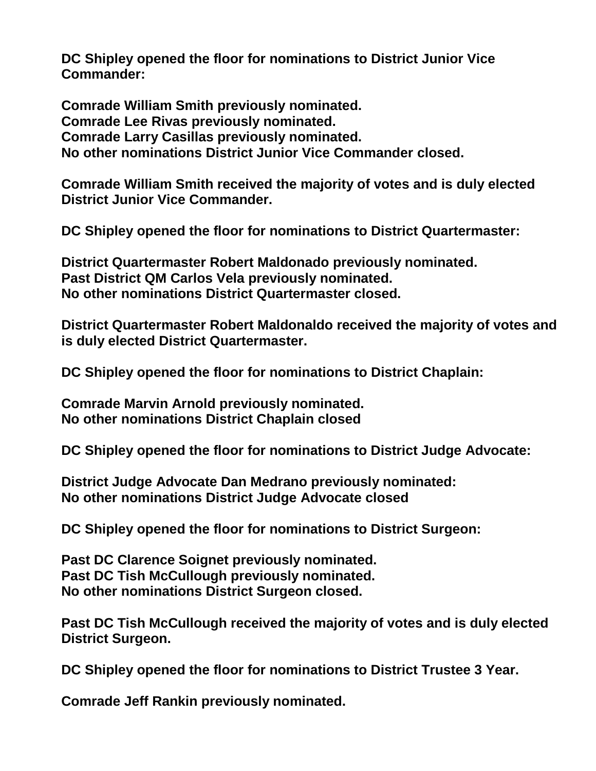**DC Shipley opened the floor for nominations to District Junior Vice Commander:** 

**Comrade William Smith previously nominated. Comrade Lee Rivas previously nominated. Comrade Larry Casillas previously nominated. No other nominations District Junior Vice Commander closed.**

**Comrade William Smith received the majority of votes and is duly elected District Junior Vice Commander.**

**DC Shipley opened the floor for nominations to District Quartermaster:**

**District Quartermaster Robert Maldonado previously nominated. Past District QM Carlos Vela previously nominated. No other nominations District Quartermaster closed.**

**District Quartermaster Robert Maldonaldo received the majority of votes and is duly elected District Quartermaster.**

**DC Shipley opened the floor for nominations to District Chaplain:**

**Comrade Marvin Arnold previously nominated. No other nominations District Chaplain closed**

**DC Shipley opened the floor for nominations to District Judge Advocate:**

**District Judge Advocate Dan Medrano previously nominated: No other nominations District Judge Advocate closed**

**DC Shipley opened the floor for nominations to District Surgeon:**

**Past DC Clarence Soignet previously nominated. Past DC Tish McCullough previously nominated. No other nominations District Surgeon closed.**

**Past DC Tish McCullough received the majority of votes and is duly elected District Surgeon.**

**DC Shipley opened the floor for nominations to District Trustee 3 Year.**

**Comrade Jeff Rankin previously nominated.**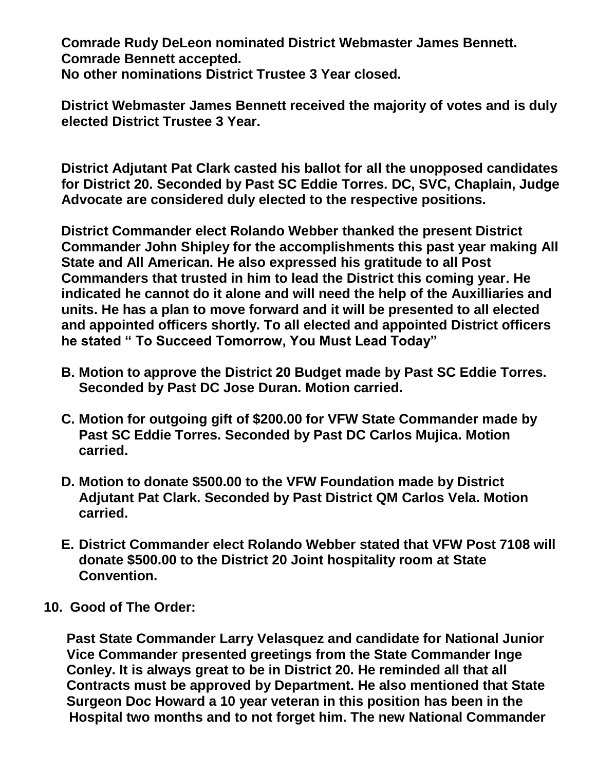**Comrade Rudy DeLeon nominated District Webmaster James Bennett. Comrade Bennett accepted. No other nominations District Trustee 3 Year closed.**

**District Webmaster James Bennett received the majority of votes and is duly elected District Trustee 3 Year.**

**District Adjutant Pat Clark casted his ballot for all the unopposed candidates for District 20. Seconded by Past SC Eddie Torres. DC, SVC, Chaplain, Judge Advocate are considered duly elected to the respective positions.**

**District Commander elect Rolando Webber thanked the present District Commander John Shipley for the accomplishments this past year making All State and All American. He also expressed his gratitude to all Post Commanders that trusted in him to lead the District this coming year. He indicated he cannot do it alone and will need the help of the Auxilliaries and units. He has a plan to move forward and it will be presented to all elected and appointed officers shortly. To all elected and appointed District officers he stated " To Succeed Tomorrow, You Must Lead Today"**

- **B. Motion to approve the District 20 Budget made by Past SC Eddie Torres. Seconded by Past DC Jose Duran. Motion carried.**
- **C. Motion for outgoing gift of \$200.00 for VFW State Commander made by Past SC Eddie Torres. Seconded by Past DC Carlos Mujica. Motion carried.**
- **D. Motion to donate \$500.00 to the VFW Foundation made by District Adjutant Pat Clark. Seconded by Past District QM Carlos Vela. Motion carried.**
- **E. District Commander elect Rolando Webber stated that VFW Post 7108 will donate \$500.00 to the District 20 Joint hospitality room at State Convention.**
- **10. Good of The Order:**

 **Past State Commander Larry Velasquez and candidate for National Junior Vice Commander presented greetings from the State Commander Inge Conley. It is always great to be in District 20. He reminded all that all Contracts must be approved by Department. He also mentioned that State Surgeon Doc Howard a 10 year veteran in this position has been in the Hospital two months and to not forget him. The new National Commander**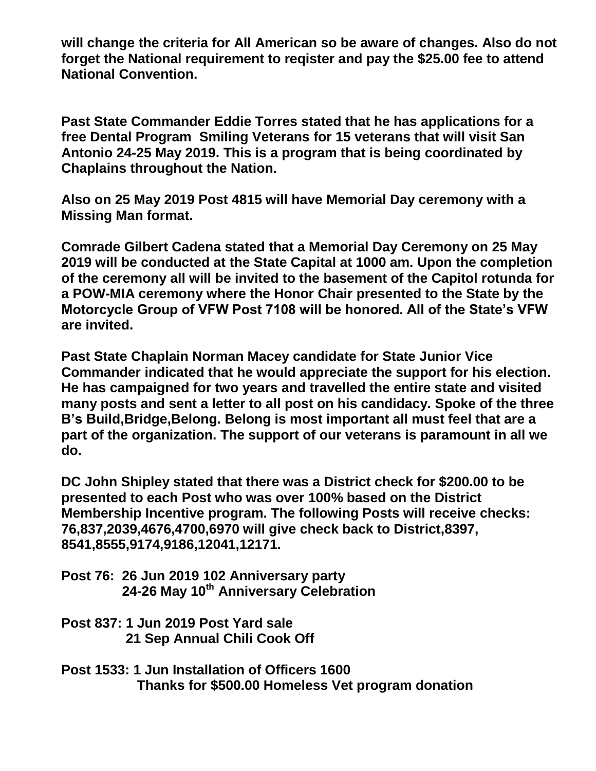**will change the criteria for All American so be aware of changes. Also do not forget the National requirement to reqister and pay the \$25.00 fee to attend National Convention.**

**Past State Commander Eddie Torres stated that he has applications for a free Dental Program Smiling Veterans for 15 veterans that will visit San Antonio 24-25 May 2019. This is a program that is being coordinated by Chaplains throughout the Nation.**

**Also on 25 May 2019 Post 4815 will have Memorial Day ceremony with a Missing Man format.**

**Comrade Gilbert Cadena stated that a Memorial Day Ceremony on 25 May 2019 will be conducted at the State Capital at 1000 am. Upon the completion of the ceremony all will be invited to the basement of the Capitol rotunda for a POW-MIA ceremony where the Honor Chair presented to the State by the Motorcycle Group of VFW Post 7108 will be honored. All of the State's VFW are invited.**

**Past State Chaplain Norman Macey candidate for State Junior Vice Commander indicated that he would appreciate the support for his election. He has campaigned for two years and travelled the entire state and visited many posts and sent a letter to all post on his candidacy. Spoke of the three B's Build,Bridge,Belong. Belong is most important all must feel that are a part of the organization. The support of our veterans is paramount in all we do.**

**DC John Shipley stated that there was a District check for \$200.00 to be presented to each Post who was over 100% based on the District Membership Incentive program. The following Posts will receive checks: 76,837,2039,4676,4700,6970 will give check back to District,8397, 8541,8555,9174,9186,12041,12171.**

**Post 76: 26 Jun 2019 102 Anniversary party 24-26 May 10th Anniversary Celebration**

**Post 837: 1 Jun 2019 Post Yard sale 21 Sep Annual Chili Cook Off**

**Post 1533: 1 Jun Installation of Officers 1600 Thanks for \$500.00 Homeless Vet program donation**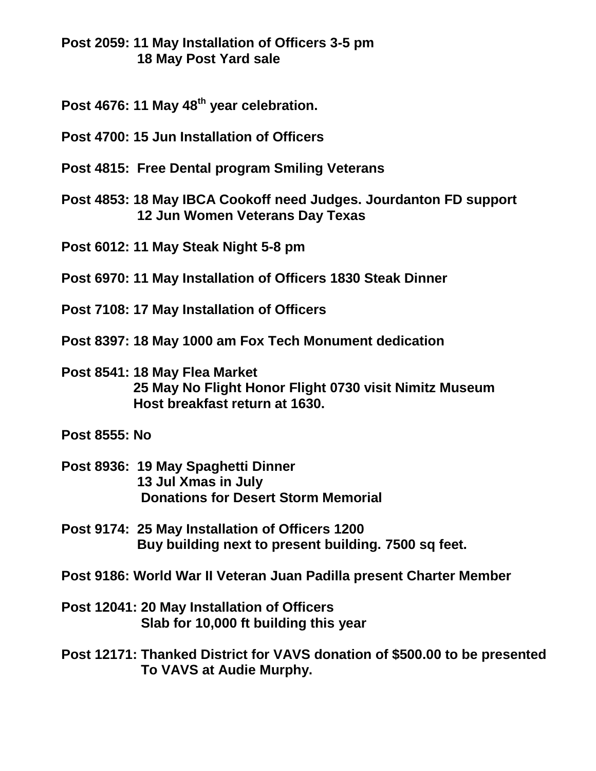**Post 2059: 11 May Installation of Officers 3-5 pm 18 May Post Yard sale**

- **Post 4676: 11 May 48th year celebration.**
- **Post 4700: 15 Jun Installation of Officers**
- **Post 4815: Free Dental program Smiling Veterans**
- **Post 4853: 18 May IBCA Cookoff need Judges. Jourdanton FD support 12 Jun Women Veterans Day Texas**
- **Post 6012: 11 May Steak Night 5-8 pm**
- **Post 6970: 11 May Installation of Officers 1830 Steak Dinner**
- **Post 7108: 17 May Installation of Officers**
- **Post 8397: 18 May 1000 am Fox Tech Monument dedication**
- **Post 8541: 18 May Flea Market 25 May No Flight Honor Flight 0730 visit Nimitz Museum Host breakfast return at 1630.**
- **Post 8555: No**
- **Post 8936: 19 May Spaghetti Dinner 13 Jul Xmas in July Donations for Desert Storm Memorial**
- **Post 9174: 25 May Installation of Officers 1200 Buy building next to present building. 7500 sq feet.**
- **Post 9186: World War II Veteran Juan Padilla present Charter Member**
- **Post 12041: 20 May Installation of Officers Slab for 10,000 ft building this year**

**Post 12171: Thanked District for VAVS donation of \$500.00 to be presented To VAVS at Audie Murphy.**